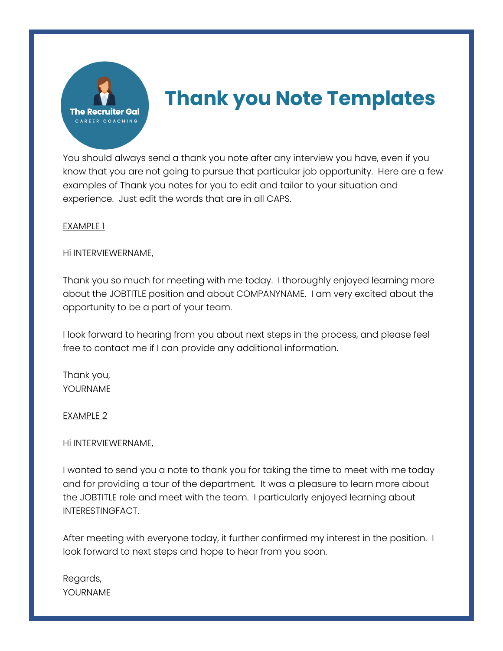

# **Thank you Note Templates**

You should always send a thank you note after any interview you have, even if you know that you are not going to pursue that particular job opportunity. Here are a few examples of Thank you notes for you to edit and tailor to your situation and experience. Just edit the words that are in all CAPS.

## EXAMPLE 1

### Hi INTERVIEWERNAME,

Thank you so much for meeting with me today. I thoroughly enjoyed learning more about the JOBTITLE position and about COMPANYNAME. I am very excited about the opportunity to be a part of your team.

I look forward to hearing from you about next steps in the process, and please feel free to contact me if I can provide any additional information.

Thank you, YOURNAME

#### EXAMPLE 2

## Hi INTERVIEWERNAME,

I wanted to send you a note to thank you for taking the time to meet with me today and for providing a tour of the department. It was a pleasure to learn more about the JOBTITLE role and meet with the team. I particularly enjoyed learning about INTERESTINGFACT.

After meeting with everyone today, it further confirmed my interest in the position. I look forward to next steps and hope to hear from you soon.

Regards, YOURNAME